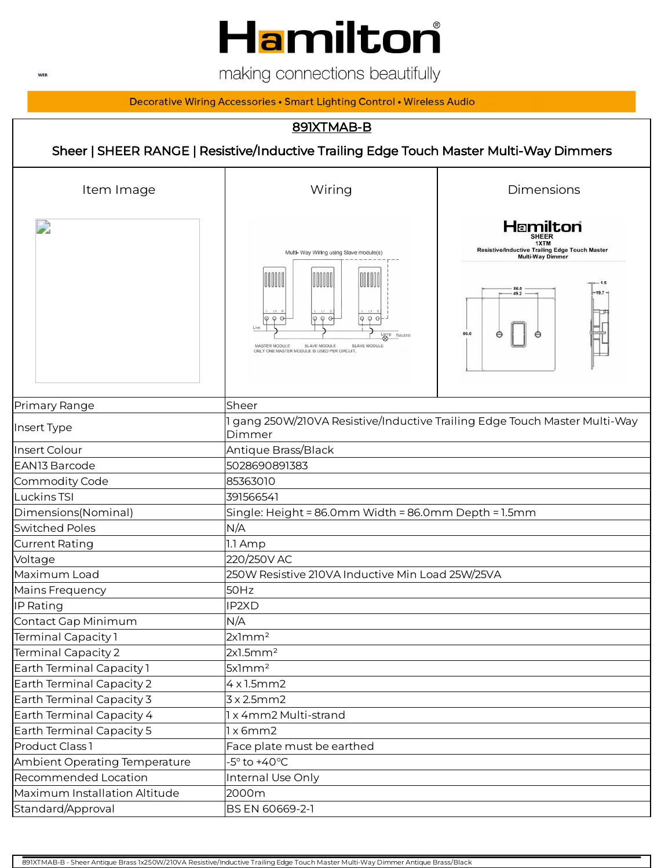

making connections beautifully

Decorative Wiring Accessories • Smart Lighting Control • Wireless Audio

### 891XTMAB-B

Sheer | SHEER RANGE | Resistive/Inductive Trailing Edge Touch Master Multi-Way Dimmers

| Item Image                    | Wiring                                                                                                                                                                                                                                        | Dimensions                                                                                                               |  |
|-------------------------------|-----------------------------------------------------------------------------------------------------------------------------------------------------------------------------------------------------------------------------------------------|--------------------------------------------------------------------------------------------------------------------------|--|
|                               | Multi- Way Wiring using Slave module(s)<br>OOOOO<br>IIIIII<br>OOOO<br>$\phi \varphi \varphi$<br>Q Q G<br>Φ<br>$Q$ $Q$<br>Live<br>Lamp Neutral<br>MASTER MODULE<br>SLAVE MODULE<br>SLAVE MODULE<br>ONLY ONE MASTER MODULE IS USED PER CIRCUIT. | Hamilton<br>Resistive/Inductive Trailing Edge Touch Master<br><b>Multi-Way Dimmer</b><br>86.0<br>$-19.7$<br>49.2<br>86.0 |  |
| Primary Range                 | Sheer                                                                                                                                                                                                                                         |                                                                                                                          |  |
| Insert Type                   | gang 250W/210VA Resistive/Inductive Trailing Edge Touch Master Multi-Way<br>Dimmer                                                                                                                                                            |                                                                                                                          |  |
| Insert Colour                 | Antique Brass/Black                                                                                                                                                                                                                           |                                                                                                                          |  |
| <b>EAN13 Barcode</b>          | 5028690891383                                                                                                                                                                                                                                 |                                                                                                                          |  |
| Commodity Code                | 85363010                                                                                                                                                                                                                                      |                                                                                                                          |  |
| Luckins TSI                   | 391566541                                                                                                                                                                                                                                     |                                                                                                                          |  |
| Dimensions(Nominal)           | Single: Height = 86.0mm Width = 86.0mm Depth = 1.5mm                                                                                                                                                                                          |                                                                                                                          |  |
| <b>Switched Poles</b>         | N/A                                                                                                                                                                                                                                           |                                                                                                                          |  |
| <b>Current Rating</b>         | 1.1 Amp                                                                                                                                                                                                                                       |                                                                                                                          |  |
| Voltage                       | 220/250V AC                                                                                                                                                                                                                                   |                                                                                                                          |  |
| Maximum Load                  | 250W Resistive 210VA Inductive Min Load 25W/25VA                                                                                                                                                                                              |                                                                                                                          |  |
| Mains Frequency               | 50Hz                                                                                                                                                                                                                                          |                                                                                                                          |  |
| IP Rating                     | IP2XD                                                                                                                                                                                                                                         |                                                                                                                          |  |
| Contact Gap Minimum           | N/A                                                                                                                                                                                                                                           |                                                                                                                          |  |
| Terminal Capacity 1           | 2x1mm <sup>2</sup>                                                                                                                                                                                                                            |                                                                                                                          |  |
| Terminal Capacity 2           | 2x1.5mm <sup>2</sup>                                                                                                                                                                                                                          |                                                                                                                          |  |
| Earth Terminal Capacity 1     | 5x1mm <sup>2</sup>                                                                                                                                                                                                                            |                                                                                                                          |  |
| Earth Terminal Capacity 2     | 4x1.5mm2                                                                                                                                                                                                                                      |                                                                                                                          |  |
| Earth Terminal Capacity 3     | 3x2.5mm2                                                                                                                                                                                                                                      |                                                                                                                          |  |
| Earth Terminal Capacity 4     | 1 x 4mm2 Multi-strand                                                                                                                                                                                                                         |                                                                                                                          |  |
| Earth Terminal Capacity 5     | 1x6mm2                                                                                                                                                                                                                                        |                                                                                                                          |  |
| Product Class 1               | Face plate must be earthed                                                                                                                                                                                                                    |                                                                                                                          |  |
| Ambient Operating Temperature | $-5^\circ$ to $+40^\circ C$                                                                                                                                                                                                                   |                                                                                                                          |  |
| Recommended Location          | Internal Use Only                                                                                                                                                                                                                             |                                                                                                                          |  |
| Maximum Installation Altitude | 2000m                                                                                                                                                                                                                                         |                                                                                                                          |  |
| Standard/Approval             | BS EN 60669-2-1                                                                                                                                                                                                                               |                                                                                                                          |  |

891XTMAB-B - Sheer Antique Brass 1x250W/210VA Resistive/Inductive Trailing Edge Touch Master Multi-Way Dimmer Antique Brass/Black

**WEB**